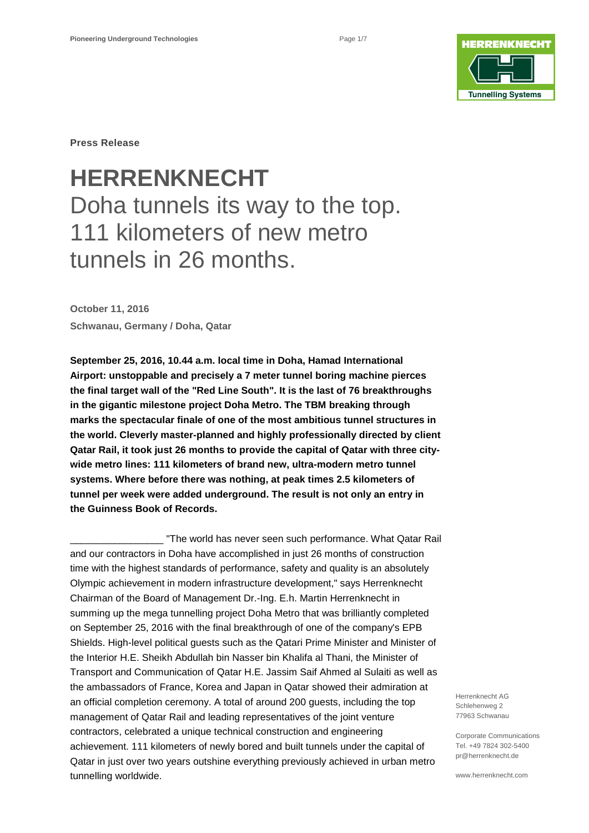

**Press Release**

# **HERRENKNECHT** Doha tunnels its way to the top. 111 kilometers of new metro tunnels in 26 months.

**October 11, 2016 Schwanau, Germany / Doha, Qatar**

**September 25, 2016, 10.44 a.m. local time in Doha, Hamad International Airport: unstoppable and precisely a 7 meter tunnel boring machine pierces the final target wall of the "Red Line South". It is the last of 76 breakthroughs in the gigantic milestone project Doha Metro. The TBM breaking through marks the spectacular finale of one of the most ambitious tunnel structures in the world. Cleverly master-planned and highly professionally directed by client Qatar Rail, it took just 26 months to provide the capital of Qatar with three citywide metro lines: 111 kilometers of brand new, ultra-modern metro tunnel systems. Where before there was nothing, at peak times 2.5 kilometers of tunnel per week were added underground. The result is not only an entry in the Guinness Book of Records.** 

"The world has never seen such performance. What Qatar Rail and our contractors in Doha have accomplished in just 26 months of construction time with the highest standards of performance, safety and quality is an absolutely Olympic achievement in modern infrastructure development," says Herrenknecht Chairman of the Board of Management Dr.-Ing. E.h. Martin Herrenknecht in summing up the mega tunnelling project Doha Metro that was brilliantly completed on September 25, 2016 with the final breakthrough of one of the company's EPB Shields. High-level political guests such as the Qatari Prime Minister and Minister of the Interior H.E. Sheikh Abdullah bin Nasser bin Khalifa al Thani, the Minister of Transport and Communication of Qatar H.E. Jassim Saif Ahmed al Sulaiti as well as the ambassadors of France, Korea and Japan in Qatar showed their admiration at an official completion ceremony. A total of around 200 guests, including the top management of Qatar Rail and leading representatives of the joint venture contractors, celebrated a unique technical construction and engineering achievement. 111 kilometers of newly bored and built tunnels under the capital of Qatar in just over two years outshine everything previously achieved in urban metro tunnelling worldwide.

Herrenknecht AG Schlehenweg 2 77963 Schwanau

Corporate Communications Tel. +49 7824 302-5400 pr@herrenknecht.de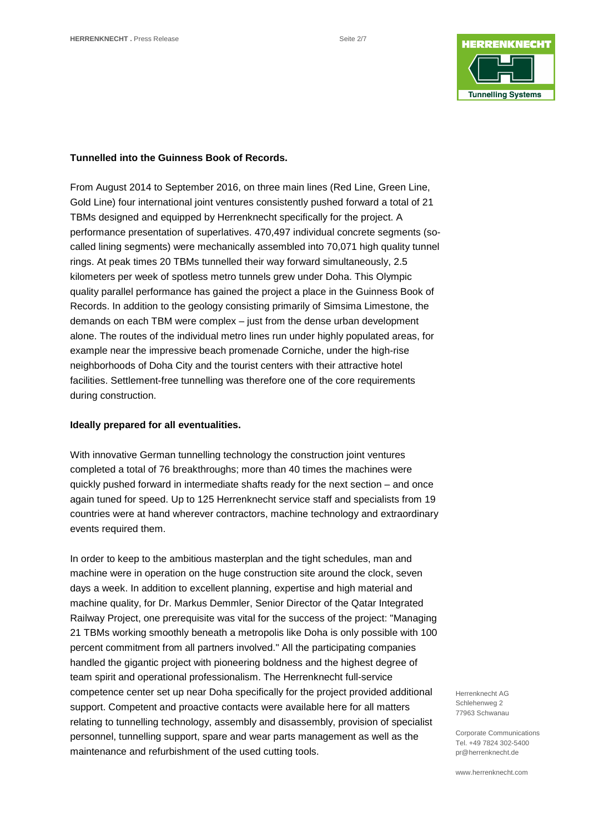

### **Tunnelled into the Guinness Book of Records.**

From August 2014 to September 2016, on three main lines (Red Line, Green Line, Gold Line) four international joint ventures consistently pushed forward a total of 21 TBMs designed and equipped by Herrenknecht specifically for the project. A performance presentation of superlatives. 470,497 individual concrete segments (socalled lining segments) were mechanically assembled into 70,071 high quality tunnel rings. At peak times 20 TBMs tunnelled their way forward simultaneously, 2.5 kilometers per week of spotless metro tunnels grew under Doha. This Olympic quality parallel performance has gained the project a place in the Guinness Book of Records. In addition to the geology consisting primarily of Simsima Limestone, the demands on each TBM were complex – just from the dense urban development alone. The routes of the individual metro lines run under highly populated areas, for example near the impressive beach promenade Corniche, under the high-rise neighborhoods of Doha City and the tourist centers with their attractive hotel facilities. Settlement-free tunnelling was therefore one of the core requirements during construction.

# **Ideally prepared for all eventualities.**

With innovative German tunnelling technology the construction joint ventures completed a total of 76 breakthroughs; more than 40 times the machines were quickly pushed forward in intermediate shafts ready for the next section – and once again tuned for speed. Up to 125 Herrenknecht service staff and specialists from 19 countries were at hand wherever contractors, machine technology and extraordinary events required them.

In order to keep to the ambitious masterplan and the tight schedules, man and machine were in operation on the huge construction site around the clock, seven days a week. In addition to excellent planning, expertise and high material and machine quality, for Dr. Markus Demmler, Senior Director of the Qatar Integrated Railway Project, one prerequisite was vital for the success of the project: "Managing 21 TBMs working smoothly beneath a metropolis like Doha is only possible with 100 percent commitment from all partners involved." All the participating companies handled the gigantic project with pioneering boldness and the highest degree of team spirit and operational professionalism. The Herrenknecht full-service competence center set up near Doha specifically for the project provided additional support. Competent and proactive contacts were available here for all matters relating to tunnelling technology, assembly and disassembly, provision of specialist personnel, tunnelling support, spare and wear parts management as well as the maintenance and refurbishment of the used cutting tools.

Herrenknecht AG Schlehenweg 2 77963 Schwanau

Corporate Communications Tel. +49 7824 302-5400 pr@herrenknecht.de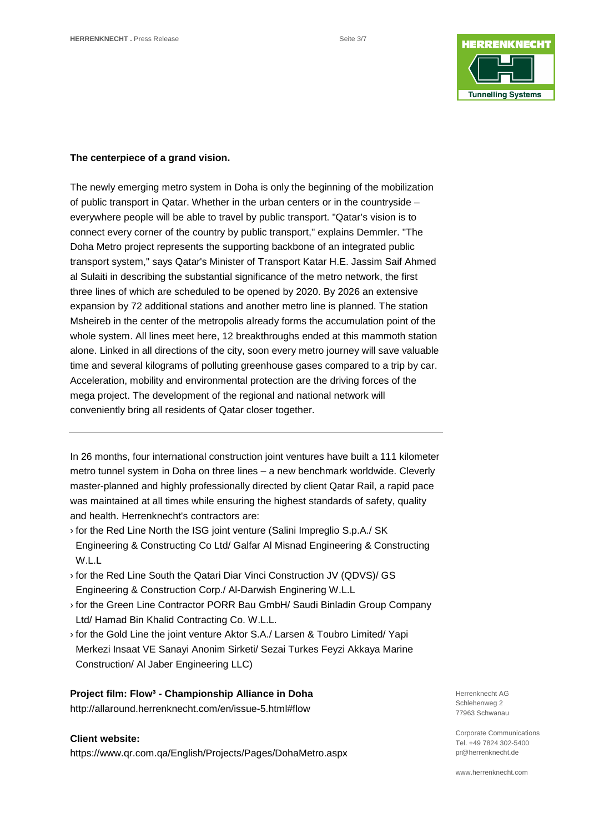

# **The centerpiece of a grand vision.**

The newly emerging metro system in Doha is only the beginning of the mobilization of public transport in Qatar. Whether in the urban centers or in the countryside – everywhere people will be able to travel by public transport. "Qatar's vision is to connect every corner of the country by public transport," explains Demmler. "The Doha Metro project represents the supporting backbone of an integrated public transport system," says Qatar's Minister of Transport Katar H.E. Jassim Saif Ahmed al Sulaiti in describing the substantial significance of the metro network, the first three lines of which are scheduled to be opened by 2020. By 2026 an extensive expansion by 72 additional stations and another metro line is planned. The station Msheireb in the center of the metropolis already forms the accumulation point of the whole system. All lines meet here, 12 breakthroughs ended at this mammoth station alone. Linked in all directions of the city, soon every metro journey will save valuable time and several kilograms of polluting greenhouse gases compared to a trip by car. Acceleration, mobility and environmental protection are the driving forces of the mega project. The development of the regional and national network will conveniently bring all residents of Qatar closer together.

In 26 months, four international construction joint ventures have built a 111 kilometer metro tunnel system in Doha on three lines – a new benchmark worldwide. Cleverly master-planned and highly professionally directed by client Qatar Rail, a rapid pace was maintained at all times while ensuring the highest standards of safety, quality and health. Herrenknecht's contractors are:

- › for the Red Line North the ISG joint venture (Salini Impreglio S.p.A./ SK Engineering & Constructing Co Ltd/ Galfar Al Misnad Engineering & Constructing W.L.L
- › for the Red Line South the Qatari Diar Vinci Construction JV (QDVS)/ GS Engineering & Construction Corp./ Al-Darwish Enginering W.L.L
- › for the Green Line Contractor PORR Bau GmbH/ Saudi Binladin Group Company Ltd/ Hamad Bin Khalid Contracting Co. W.L.L.
- › for the Gold Line the joint venture Aktor S.A./ Larsen & Toubro Limited/ Yapi Merkezi Insaat VE Sanayi Anonim Sirketi/ Sezai Turkes Feyzi Akkaya Marine Construction/ Al Jaber Engineering LLC)

# **Project film: Flow³ - Championship Alliance in Doha**

<http://allaround.herrenknecht.com/en/issue-5.html#flow>

# **Client website:**

<https://www.qr.com.qa/English/Projects/Pages/DohaMetro.aspx>

Herrenknecht AG Schlehenweg 2 77963 Schwanau

Corporate Communications Tel. +49 7824 302-5400 pr@herrenknecht.de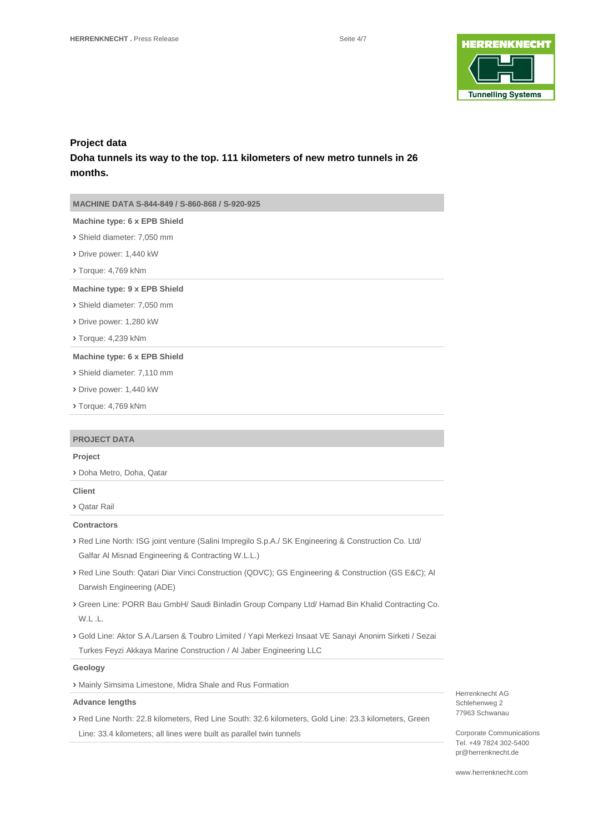

# **Project data Doha tunnels its way to the top. 111 kilometers of new metro tunnels in 26 months.**

**MACHINE DATA S-844-849 / S-860-868 / S-920-925**

#### **Machine type: 6 x EPB Shield**

› Shield diameter: 7,050 mm

- › Drive power: 1,440 kW
- › Torque: 4,769 kNm

#### **Machine type: 9 x EPB Shield**

› Shield diameter: 7,050 mm

- › Drive power: 1,280 kW
- › Torque: 4,239 kNm

#### **Machine type: 6 x EPB Shield**

› Shield diameter: 7,110 mm

- › Drive power: 1,440 kW
- › Torque: 4,769 kNm

#### **PROJECT DATA**

#### **Project**

› Doha Metro, Doha, Qatar

#### **Client**

› Qatar Rail

#### **Contractors**

- › Red Line North: ISG joint venture (Salini Impregilo S.p.A./ SK Engineering & Construction Co. Ltd/ Galfar Al Misnad Engineering & Contracting W.L.L.)
- › Red Line South: Qatari Diar Vinci Construction (QDVC); GS Engineering & Construction (GS E&C); Al Darwish Engineering (ADE)
- › Green Line: PORR Bau GmbH/ Saudi Binladin Group Company Ltd/ Hamad Bin Khalid Contracting Co. W.L .L.
- › Gold Line: Aktor S.A./Larsen & Toubro Limited / Yapi Merkezi Insaat VE Sanayi Anonim Sirketi / Sezai Turkes Feyzi Akkaya Marine Construction / Al Jaber Engineering LLC

#### **Geology**

› Mainly Simsima Limestone, Midra Shale and Rus Formation

#### **Advance lengths**

› Red Line North: 22.8 kilometers, Red Line South: 32.6 kilometers, Gold Line: 23.3 kilometers, Green Line: 33.4 kilometers; all lines were built as parallel twin tunnels

Herrenknecht AG Schlehenweg 2 77963 Schwanau

Corporate Communications Tel. +49 7824 302-5400 pr@herrenknecht.de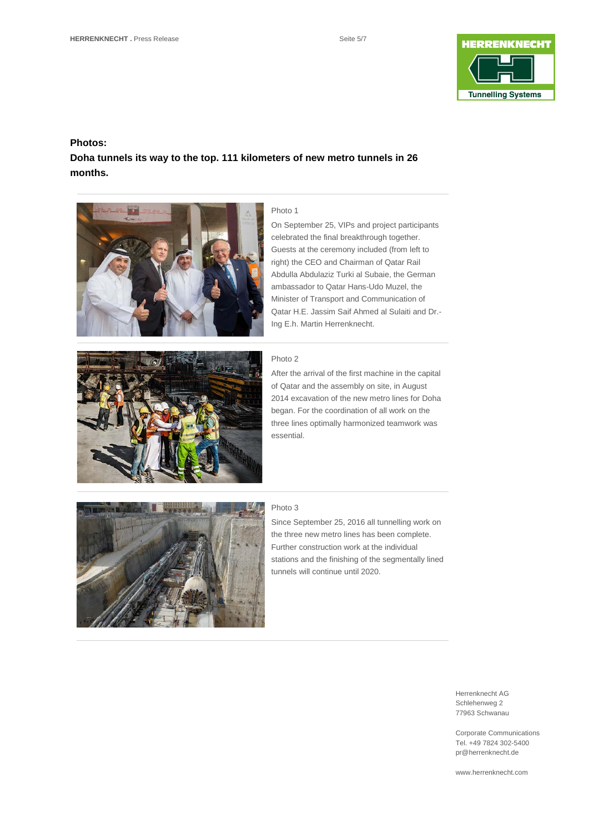

# **Photos:**

**Doha tunnels its way to the top. 111 kilometers of new metro tunnels in 26 months.**



# Photo 1

On September 25, VIPs and project participants celebrated the final breakthrough together. Guests at the ceremony included (from left to right) the CEO and Chairman of Qatar Rail Abdulla Abdulaziz Turki al Subaie, the German ambassador to Qatar Hans-Udo Muzel, the Minister of Transport and Communication of Qatar H.E. Jassim Saif Ahmed al Sulaiti and Dr.- Ing E.h. Martin Herrenknecht.

#### Photo 2

After the arrival of the first machine in the capital of Qatar and the assembly on site, in August 2014 excavation of the new metro lines for Doha began. For the coordination of all work on the three lines optimally harmonized teamwork was essential.



#### Photo 3

Since September 25, 2016 all tunnelling work on the three new metro lines has been complete. Further construction work at the individual stations and the finishing of the segmentally lined tunnels will continue until 2020.

> Herrenknecht AG Schlehenweg 2 77963 Schwanau

Corporate Communications Tel. +49 7824 302-5400 pr@herrenknecht.de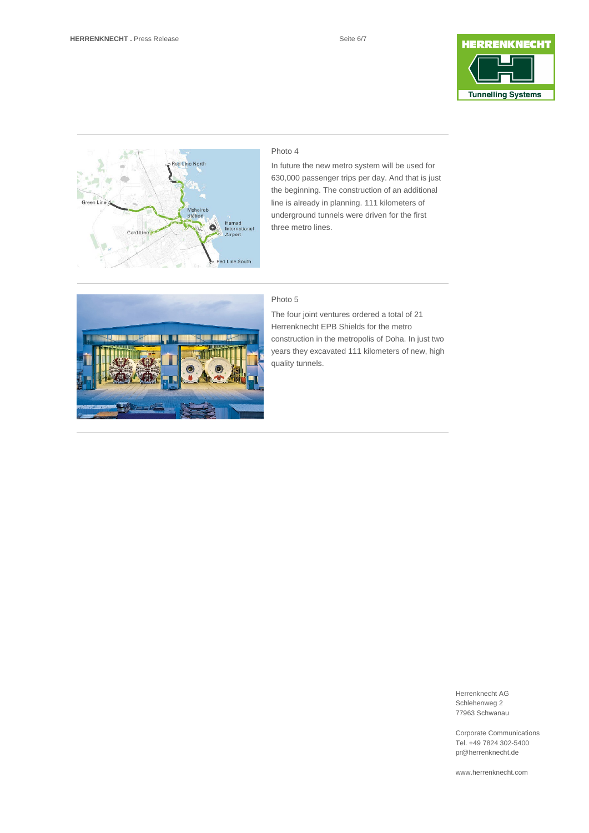



# Photo 4

In future the new metro system will be used for 630,000 passenger trips per day. And that is just the beginning. The construction of an additional line is already in planning. 111 kilometers of underground tunnels were driven for the first three metro lines.



### Photo 5

The four joint ventures ordered a total of 21 Herrenknecht EPB Shields for the metro construction in the metropolis of Doha. In just two years they excavated 111 kilometers of new, high quality tunnels.

> Herrenknecht AG Schlehenweg 2 77963 Schwanau

Corporate Communications Tel. +49 7824 302-5400 pr@herrenknecht.de